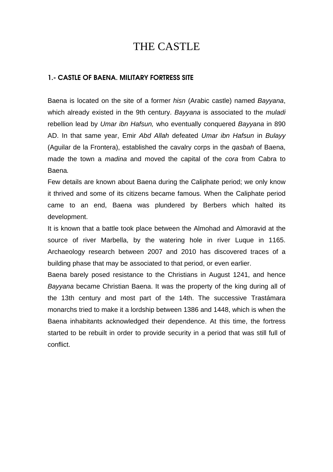# THE CASTLE

# 1.- CASTLE OF BAENA. MILITARY FORTRESS SITE

Baena is located on the site of a former hisn (Arabic castle) named Bayyana, which already existed in the 9th century. Bayyana is associated to the *muladi* rebellion lead by Umar ibn Hafsun, who eventually conquered Bayyana in 890 AD. In that same year, Emir Abd Allah defeated Umar ibn Hafsun in Bulayy (Aguilar de la Frontera), established the cavalry corps in the qasbah of Baena, made the town a *madina* and moved the capital of the cora from Cabra to Baena.

Few details are known about Baena during the Caliphate period; we only know it thrived and some of its citizens became famous. When the Caliphate period came to an end, Baena was plundered by Berbers which halted its development.

It is known that a battle took place between the Almohad and Almoravid at the source of river Marbella, by the watering hole in river Luque in 1165. Archaeology research between 2007 and 2010 has discovered traces of a building phase that may be associated to that period, or even earlier.

Baena barely posed resistance to the Christians in August 1241, and hence Bayyana became Christian Baena. It was the property of the king during all of the 13th century and most part of the 14th. The successive Trastámara monarchs tried to make it a lordship between 1386 and 1448, which is when the Baena inhabitants acknowledged their dependence. At this time, the fortress started to be rebuilt in order to provide security in a period that was still full of conflict.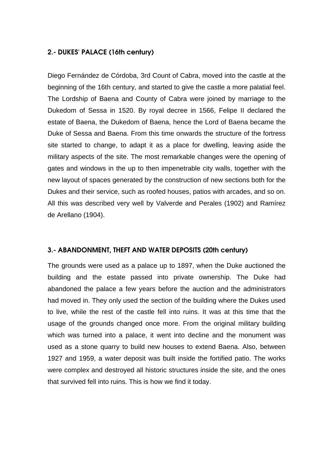# 2.- DUKES' PALACE (16th century)

Diego Fernández de Córdoba, 3rd Count of Cabra, moved into the castle at the beginning of the 16th century, and started to give the castle a more palatial feel. The Lordship of Baena and County of Cabra were joined by marriage to the Dukedom of Sessa in 1520. By royal decree in 1566, Felipe II declared the estate of Baena, the Dukedom of Baena, hence the Lord of Baena became the Duke of Sessa and Baena. From this time onwards the structure of the fortress site started to change, to adapt it as a place for dwelling, leaving aside the military aspects of the site. The most remarkable changes were the opening of gates and windows in the up to then impenetrable city walls, together with the new layout of spaces generated by the construction of new sections both for the Dukes and their service, such as roofed houses, patios with arcades, and so on. All this was described very well by Valverde and Perales (1902) and Ramírez de Arellano (1904).

#### 3.- ABANDONMENT, THEFT AND WATER DEPOSITS (20th century)

The grounds were used as a palace up to 1897, when the Duke auctioned the building and the estate passed into private ownership. The Duke had abandoned the palace a few years before the auction and the administrators had moved in. They only used the section of the building where the Dukes used to live, while the rest of the castle fell into ruins. It was at this time that the usage of the grounds changed once more. From the original military building which was turned into a palace, it went into decline and the monument was used as a stone quarry to build new houses to extend Baena. Also, between 1927 and 1959, a water deposit was built inside the fortified patio. The works were complex and destroyed all historic structures inside the site, and the ones that survived fell into ruins. This is how we find it today.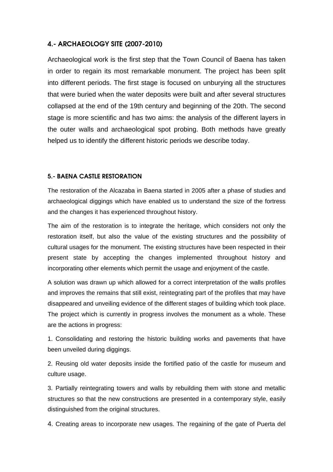# 4.- ARCHAEOLOGY SITE (2007-2010)

Archaeological work is the first step that the Town Council of Baena has taken in order to regain its most remarkable monument. The project has been split into different periods. The first stage is focused on unburying all the structures that were buried when the water deposits were built and after several structures collapsed at the end of the 19th century and beginning of the 20th. The second stage is more scientific and has two aims: the analysis of the different layers in the outer walls and archaeological spot probing. Both methods have greatly helped us to identify the different historic periods we describe today.

### 5.- BAENA CASTLE RESTORATION

The restoration of the Alcazaba in Baena started in 2005 after a phase of studies and archaeological diggings which have enabled us to understand the size of the fortress and the changes it has experienced throughout history.

The aim of the restoration is to integrate the heritage, which considers not only the restoration itself, but also the value of the existing structures and the possibility of cultural usages for the monument. The existing structures have been respected in their present state by accepting the changes implemented throughout history and incorporating other elements which permit the usage and enjoyment of the castle.

A solution was drawn up which allowed for a correct interpretation of the walls profiles and improves the remains that still exist, reintegrating part of the profiles that may have disappeared and unveiling evidence of the different stages of building which took place. The project which is currently in progress involves the monument as a whole. These are the actions in progress:

1. Consolidating and restoring the historic building works and pavements that have been unveiled during diggings.

2. Reusing old water deposits inside the fortified patio of the castle for museum and culture usage.

3. Partially reintegrating towers and walls by rebuilding them with stone and metallic structures so that the new constructions are presented in a contemporary style, easily distinguished from the original structures.

4. Creating areas to incorporate new usages. The regaining of the gate of Puerta del